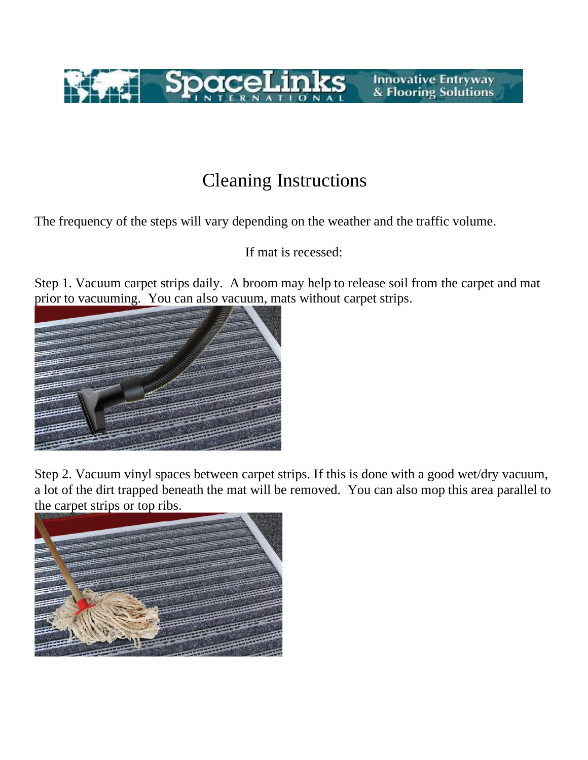

## Cleaning Instructions

The frequency of the steps will vary depending on the weather and the traffic volume.

If mat is recessed:

Step 1. Vacuum carpet strips daily. A broom may help to release soil from the carpet and mat prior to vacuuming. You can also vacuum, mats without carpet strips.



Step 2. Vacuum vinyl spaces between carpet strips. If this is done with a good wet/dry vacuum, a lot of the dirt trapped beneath the mat will be removed. You can also mop this area parallel to the carpet strips or top ribs.